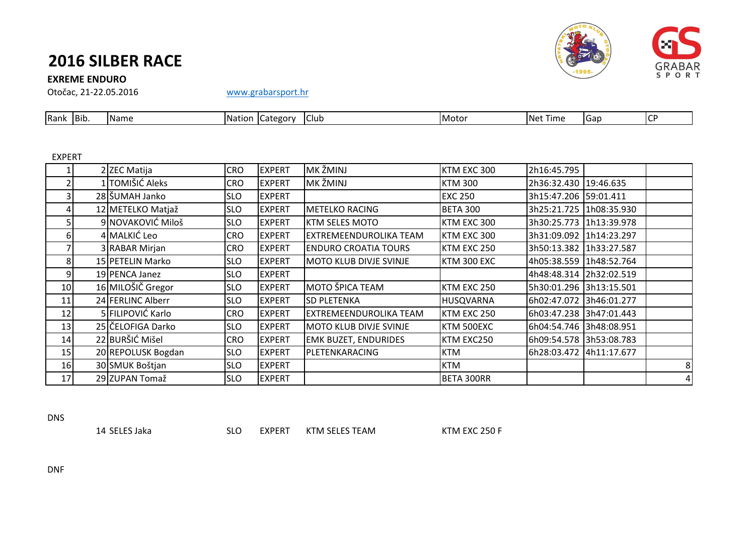# **2016 SILBER RACE**

### **EXREME ENDURO**

Otočac, 21-22.05.2016 [www.grabarsport.hr](http://www.grabarsport.hr/)

| Bib.<br>-<br>.<br>Rank<br>TNe <sup>+</sup><br>'Name<br>- Nation -<br>Time<br>.<br>Club<br>⊣Motu<br>category<br>TGab | $\mathsf{L} \mathsf{C}^r$ |
|---------------------------------------------------------------------------------------------------------------------|---------------------------|

#### EXPERT

|    | 2 ZEC Matija       | <b>CRO</b> | <b>EXPERT</b> | MK ŽMINJ                      | KTM EXC 300        | 2h16:45.795             |                         |   |
|----|--------------------|------------|---------------|-------------------------------|--------------------|-------------------------|-------------------------|---|
|    | 1 TOMIŠIĆ Aleks    | <b>CRO</b> | <b>EXPERT</b> | MK ŽMINJ                      | <b>KTM 300</b>     | 2h36:32.430 19:46.635   |                         |   |
|    | 28 ŠUMAH Janko     | <b>SLO</b> | <b>EXPERT</b> |                               | <b>EXC 250</b>     | 3h15:47.206 59:01.411   |                         |   |
|    | 12 METELKO Matjaž  | <b>SLO</b> | <b>EXPERT</b> | <b>METELKO RACING</b>         | <b>BETA 300</b>    |                         | 3h25:21.725 1h08:35.930 |   |
|    | 9 NOVAKOVIĆ Miloš  | <b>SLO</b> | <b>EXPERT</b> | <b>KTM SELES MOTO</b>         | KTM EXC 300        |                         | 3h30:25.773 1h13:39.978 |   |
| 6  | 4 MALKIĆ Leo       | <b>CRO</b> | <b>EXPERT</b> | EXTREMEENDUROLIKA TEAM        | KTM EXC 300        | 3h31:09.092 1h14:23.297 |                         |   |
|    | 3 RABAR Mirjan     | <b>CRO</b> | <b>EXPERT</b> | <b>IENDURO CROATIA TOURS</b>  | KTM EXC 250        |                         | 3h50:13.382 1h33:27.587 |   |
| 8  | 15 PETELIN Marko   | <b>SLO</b> | <b>EXPERT</b> | <b>MOTO KLUB DIVJE SVINJE</b> | <b>KTM 300 EXC</b> |                         | 4h05:38.559 1h48:52.764 |   |
| 9  | 19 PENCA Janez     | <b>SLO</b> | <b>EXPERT</b> |                               |                    | 4h48:48.314 2h32:02.519 |                         |   |
| 10 | 16 MILOŠIČ Gregor  | <b>SLO</b> | <b>EXPERT</b> | MOTO ŠPICA TEAM               | KTM EXC 250        | 5h30:01.296 3h13:15.501 |                         |   |
| 11 | 24 FERLINC Alberr  | <b>SLO</b> | <b>EXPERT</b> | <b>SD PLETENKA</b>            | <b>HUSQVARNA</b>   | 6h02:47.072 3h46:01.277 |                         |   |
| 12 | 5 FILIPOVIĆ Karlo  | <b>CRO</b> | <b>EXPERT</b> | EXTREMEENDUROLIKA TEAM        | KTM EXC 250        |                         | 6h03:47.238 3h47:01.443 |   |
| 13 | 25 ČELOFIGA Darko  | <b>SLO</b> | <b>EXPERT</b> | <b>MOTO KLUB DIVJE SVINJE</b> | KTM 500EXC         | 6h04:54.746 3h48:08.951 |                         |   |
| 14 | 22 BURŠIĆ Mišel    | <b>CRO</b> | <b>EXPERT</b> | <b>EMK BUZET, ENDURIDES</b>   | KTM EXC250         | 6h09:54.578 3h53:08.783 |                         |   |
| 15 | 20 REPOLUSK Bogdan | <b>SLO</b> | <b>EXPERT</b> | PLETENKARACING                | <b>KTM</b>         | 6h28:03.472 4h11:17.677 |                         |   |
| 16 | 30 SMUK Boštjan    | <b>SLO</b> | <b>EXPERT</b> |                               | <b>KTM</b>         |                         |                         | 8 |
| 17 | 29 ZUPAN Tomaž     | <b>SLO</b> | <b>EXPERT</b> |                               | BETA 300RR         |                         |                         | 4 |

DNS

14 SELES Jaka SLO EXPERT KTM SELES TEAM KTM EXC 250 F



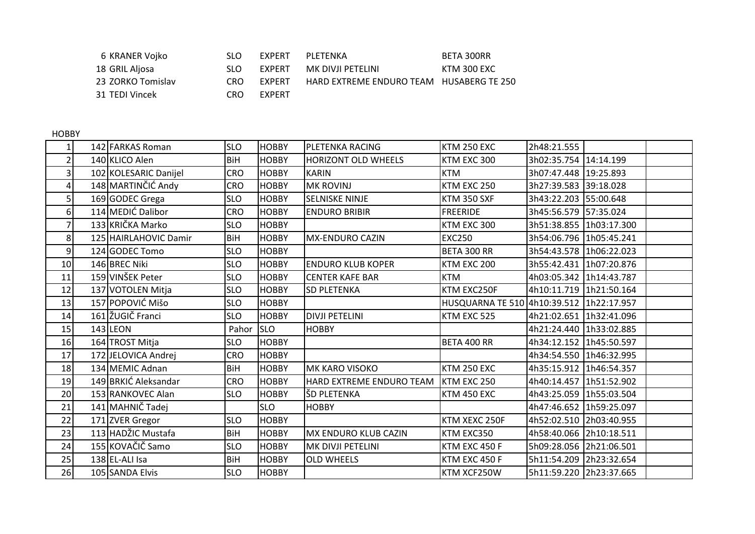| 6 KRANER Vojko    | SLO.       | FXPFRT        | PLFTFNKA                                        | BETA 300RR  |
|-------------------|------------|---------------|-------------------------------------------------|-------------|
| 18 GRIL Aljosa    | SLO.       | <b>FXPFRT</b> | MK DIVJI PETELINI                               | KTM 300 EXC |
| 23 ZORKO Tomislav | <b>CRO</b> | <b>FXPFRT</b> | <b>HARD EXTREME ENDURO TEAM HUSABERG TE 250</b> |             |
| 31 TEDI Vincek    | CRO.       | <b>FXPFRT</b> |                                                 |             |

HOBBY

|                | 142 FARKAS Roman      | <b>SLO</b> | <b>HOBBY</b> | <b>PLETENKA RACING</b>     | <b>KTM 250 EXC</b>                       | 2h48:21.555             |                         |  |
|----------------|-----------------------|------------|--------------|----------------------------|------------------------------------------|-------------------------|-------------------------|--|
|                | 140 KLICO Alen        | <b>BiH</b> | <b>HOBBY</b> | <b>HORIZONT OLD WHEELS</b> | KTM EXC 300                              | 3h02:35.754 14:14.199   |                         |  |
| 3              | 102 KOLESARIC Danijel | CRO        | <b>HOBBY</b> | <b>KARIN</b>               | <b>KTM</b>                               | 3h07:47.448 19:25.893   |                         |  |
| 4              | 148 MARTINČIĆ Andy    | CRO        | <b>HOBBY</b> | <b>MK ROVINJ</b>           | KTM EXC 250                              | 3h27:39.583 39:18.028   |                         |  |
|                | 169 GODEC Grega       | <b>SLO</b> | <b>HOBBY</b> | <b>SELNISKE NINJE</b>      | KTM 350 SXF                              | 3h43:22.203 55:00.648   |                         |  |
| 61             | 114 MEDIĆ Dalibor     | <b>CRO</b> | <b>HOBBY</b> | <b>ENDURO BRIBIR</b>       | <b>FREERIDE</b>                          | 3h45:56.579 57:35.024   |                         |  |
|                | 133 KRIČKA Marko      | <b>SLO</b> | <b>HOBBY</b> |                            | KTM EXC 300                              | 3h51:38.855 1h03:17.300 |                         |  |
| 8              | 125 HAIRLAHOVIC Damir | BiH        | <b>HOBBY</b> | MX-ENDURO CAZIN            | <b>EXC250</b>                            | 3h54:06.796 1h05:45.241 |                         |  |
| $\overline{9}$ | 124 GODEC Tomo        | <b>SLO</b> | <b>HOBBY</b> |                            | BETA 300 RR                              |                         | 3h54:43.578 1h06:22.023 |  |
| 10             | 146 BREC Niki         | <b>SLO</b> | <b>HOBBY</b> | <b>ENDURO KLUB KOPER</b>   | KTM EXC 200                              |                         | 3h55:42.431 1h07:20.876 |  |
| 11             | 159 VINŠEK Peter      | <b>SLO</b> | <b>HOBBY</b> | <b>CENTER KAFE BAR</b>     | <b>KTM</b>                               | 4h03:05.342 1h14:43.787 |                         |  |
| 12             | 137 VOTOLEN Mitja     | <b>SLO</b> | <b>HOBBY</b> | <b>SD PLETENKA</b>         | KTM EXC250F                              | 4h10:11.719 1h21:50.164 |                         |  |
| 13             | 157 POPOVIĆ Mišo      | <b>SLO</b> | <b>HOBBY</b> |                            | HUSQUARNA TE 510 4h10:39.512 1h22:17.957 |                         |                         |  |
| 14             | 161 ŽUGIČ Franci      | <b>SLO</b> | <b>HOBBY</b> | <b>DIVJI PETELINI</b>      | KTM EXC 525                              | 4h21:02.651 1h32:41.096 |                         |  |
| 15             | $143$ LEON            | Pahor      | <b>SLO</b>   | <b>HOBBY</b>               |                                          | 4h21:24.440 1h33:02.885 |                         |  |
| 16             | 164 TROST Mitja       | <b>SLO</b> | <b>HOBBY</b> |                            | BETA 400 RR                              | 4h34:12.152 1h45:50.597 |                         |  |
| 17             | 172 JELOVICA Andrej   | CRO        | <b>HOBBY</b> |                            |                                          | 4h34:54.550 1h46:32.995 |                         |  |
| 18             | 134 MEMIC Adnan       | BiH        | <b>HOBBY</b> | <b>MK KARO VISOKO</b>      | <b>KTM 250 EXC</b>                       | 4h35:15.912 1h46:54.357 |                         |  |
| 19             | 149 BRKIĆ Aleksandar  | <b>CRO</b> | <b>HOBBY</b> | HARD EXTREME ENDURO TEAM   | KTM EXC 250                              | 4h40:14.457 1h51:52.902 |                         |  |
| 20             | 153 RANKOVEC Alan     | <b>SLO</b> | <b>HOBBY</b> | ŠD PLETENKA                | <b>KTM 450 EXC</b>                       | 4h43:25.059 1h55:03.504 |                         |  |
| 21             | 141 MAHNIČ Tadej      |            | <b>SLO</b>   | <b>HOBBY</b>               |                                          | 4h47:46.652 1h59:25.097 |                         |  |
| 22             | 171 ZVER Gregor       | <b>SLO</b> | <b>HOBBY</b> |                            | KTM XEXC 250F                            | 4h52:02.510 2h03:40.955 |                         |  |
| 23             | 113 HADŽIC Mustafa    | <b>BiH</b> | <b>HOBBY</b> | MX ENDURO KLUB CAZIN       | KTM EXC350                               | 4h58:40.066 2h10:18.511 |                         |  |
| 24             | 155 KOVAČIČ Samo      | <b>SLO</b> | <b>HOBBY</b> | MK DIVJI PETELINI          | KTM EXC 450 F                            | 5h09:28.056 2h21:06.501 |                         |  |
| 25             | 138 EL-ALI Isa        | <b>BiH</b> | <b>HOBBY</b> | <b>OLD WHEELS</b>          | KTM EXC 450 F                            |                         | 5h11:54.209 2h23:32.654 |  |
| 26             | 105 SANDA Elvis       | <b>SLO</b> | <b>HOBBY</b> |                            | KTM XCF250W                              | 5h11:59.220 2h23:37.665 |                         |  |
|                |                       |            |              |                            |                                          |                         |                         |  |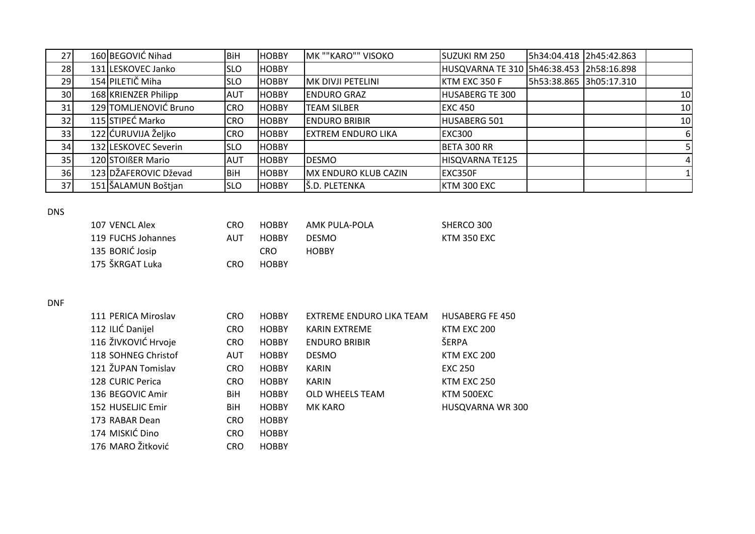| 27              | 160 BEGOVIĆ Nihad     | <b>BiH</b> | <b>HOBBY</b> | MK ""KARO"" VISOKO        | SUZUKI RM 250                            | 5h34:04.418 2h45:42.863 |                |
|-----------------|-----------------------|------------|--------------|---------------------------|------------------------------------------|-------------------------|----------------|
| 28              | 131 LESKOVEC Janko    | <b>SLO</b> | <b>HOBBY</b> |                           | HUSQVARNA TE 310 5h46:38.453 2h58:16.898 |                         |                |
| 29              | 154 PILETIČ Miha      | <b>SLO</b> | <b>HOBBY</b> | <b>MK DIVJI PETELINI</b>  | KTM EXC 350 F                            | 5h53:38.865 3h05:17.310 |                |
| 30 <sup>1</sup> | 168 KRIENZER Philipp  | <b>AUT</b> | <b>HOBBY</b> | <b>ENDURO GRAZ</b>        | <b>HUSABERG TE 300</b>                   |                         | 10             |
| 31              | 129 TOMLJENOVIĆ Bruno | <b>CRO</b> | <b>HOBBY</b> | <b>TEAM SILBER</b>        | <b>EXC 450</b>                           |                         | 10             |
| 32              | 115 STIPEĆ Marko      | <b>CRO</b> | <b>HOBBY</b> | <b>ENDURO BRIBIR</b>      | <b>HUSABERG 501</b>                      |                         | 10             |
| 33              | 122 ĆURUVIJA Željko   | <b>CRO</b> | <b>HOBBY</b> | <b>EXTREM ENDURO LIKA</b> | <b>EXC300</b>                            |                         | 6              |
| 34              | 132 LESKOVEC Severin  | <b>SLO</b> | <b>HOBBY</b> |                           | BETA 300 RR                              |                         |                |
| 35              | 120 STOIRER Mario     | <b>AUT</b> | <b>HOBBY</b> | <b>DESMO</b>              | HISQVARNA TE125                          |                         | $\overline{4}$ |
| 36              | 123 DŽAFEROVIC Dževad | <b>BiH</b> | <b>HOBBY</b> | MX ENDURO KLUB CAZIN      | <b>EXC350F</b>                           |                         |                |
| 37              | 151 ŠALAMUN Boštjan   | <b>SLO</b> | <b>HOBBY</b> | Š.D. PLETENKA             | KTM 300 EXC                              |                         |                |

#### DNS

| 107 VENCL Alex     | CRO. | <b>HOBBY</b> | AMK PULA-POLA | SHERCO 300         |
|--------------------|------|--------------|---------------|--------------------|
| 119 FUCHS Johannes | AUT  | <b>HOBBY</b> | <b>DESMO</b>  | <b>KTM 350 EXC</b> |
| 135 BORIĆ Josip    |      | CRO.         | HOBBY         |                    |
| 175 ŠKRGAT Luka    | CRO. | <b>HOBBY</b> |               |                    |

## DNF

| 111 PERICA Miroslav | <b>CRO</b> | <b>HOBBY</b> | EXTREME ENDURO LIKA TEAM | <b>HUSABERG FE 450</b> |
|---------------------|------------|--------------|--------------------------|------------------------|
| 112 ILIĆ Danijel    | CRO        | <b>HOBBY</b> | <b>KARIN EXTREME</b>     | KTM EXC 200            |
| 116 ŽIVKOVIĆ Hrvoje | CRO        | <b>HOBBY</b> | <b>ENDURO BRIBIR</b>     | ŠERPA                  |
| 118 SOHNEG Christof | <b>AUT</b> | <b>HOBBY</b> | <b>DESMO</b>             | KTM EXC 200            |
| 121 ŽUPAN Tomislav  | CRO        | <b>HOBBY</b> | <b>KARIN</b>             | <b>EXC 250</b>         |
| 128 CURIC Perica    | <b>CRO</b> | <b>HOBBY</b> | KARIN                    | KTM EXC 250            |
| 136 BEGOVIC Amir    | <b>BiH</b> | <b>HOBBY</b> | <b>OLD WHEELS TEAM</b>   | KTM 500EXC             |
| 152 HUSELJIC Emir   | BiH        | <b>HOBBY</b> | <b>MK KARO</b>           | HUSQVARNA WR 300       |
| 173 RABAR Dean      | <b>CRO</b> | <b>HOBBY</b> |                          |                        |
| 174 MISKIĆ Dino     | <b>CRO</b> | <b>HOBBY</b> |                          |                        |
| 176 MARO Žitković   | <b>CRO</b> | <b>HOBBY</b> |                          |                        |